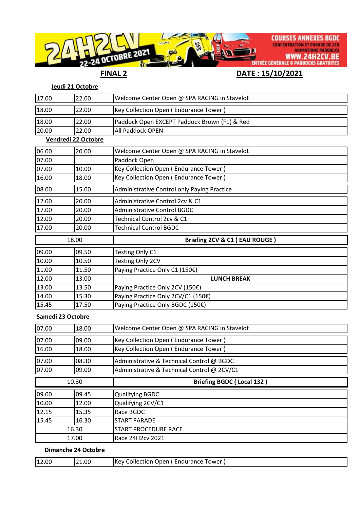

## **Jeudi 21 Octobre**

| 17.00             | 22.00               | Welcome Center Open @ SPA RACING in Stavelot |
|-------------------|---------------------|----------------------------------------------|
| 18.00             | 22.00               | Key Collection Open (Endurance Tower)        |
| 18.00             | 22.00               | Paddock Open EXCEPT Paddock Brown (F1) & Red |
| 20.00             | 22.00               | All Paddock OPEN                             |
|                   | Vendredi 22 Octobre |                                              |
| 06.00             | 20.00               | Welcome Center Open @ SPA RACING in Stavelot |
| 07.00             |                     | Paddock Open                                 |
| 07.00             | 10.00               | Key Collection Open (Endurance Tower)        |
| 16.00             | 18.00               | Key Collection Open (Endurance Tower)        |
| 08.00             | 15.00               | Administrative Control only Paying Practice  |
| 12.00             | 20.00               | Administrative Control 2cv & C1              |
| 17.00             | 20.00               | <b>Administrative Control BGDC</b>           |
| 12.00             | 20.00               | Technical Control 2cv & C1                   |
| 17.00             | 20.00               | <b>Technical Control BGDC</b>                |
| 18.00             |                     | Briefing 2CV & C1 (EAU ROUGE)                |
| 09.00             | 09.50               | Testing Only C1                              |
|                   |                     |                                              |
| 10.00             | 10.50               | Testing Only 2CV                             |
| 11.00             | 11.50               | Paying Practice Only C1 (150€)               |
| 12.00             | 13.00               | <b>LUNCH BREAK</b>                           |
| 13.00             | 13.50               | Paying Practice Only 2CV (150€)              |
| 14.00             | 15.30               | Paying Practice Only 2CV/C1 (150€)           |
| 15.45             | 17.50               | Paying Practice Only BGDC (150€)             |
| Samedi 23 Octobre |                     |                                              |
| 07.00             | 18.00               | Welcome Center Open @ SPA RACING in Stavelot |
| 07.00             | 09.00               | Key Collection Open (Endurance Tower)        |
| 16.00             | 18.00               | Key Collection Open (Endurance Tower)        |
| 07.00             | 08.30               | Administrative & Technical Control @ BGDC    |
| 07.00             | 09.00               | Administrative & Technical Control @ 2CV/C1  |
|                   | 10.30               | <b>Briefing BGDC (Local 132)</b>             |

| 09.00 | 09.45 | Qualifying BGDC       |
|-------|-------|-----------------------|
| 10.00 | 12.00 | Qualifying 2CV/C1     |
| 12.15 | 15.35 | IRace BGDC            |
| 15.45 | 16.30 | <b>START PARADE</b>   |
| 16.30 |       | ISTART PROCEDURE RACE |
| 17.00 |       | Race 24H2cv 2021      |
|       |       |                       |

## **Dimanche 24 Octobre**

| 12.00 | 21.00 | l Kev<br>Endurance<br>rower<br>Collection 1<br>Open |
|-------|-------|-----------------------------------------------------|
|-------|-------|-----------------------------------------------------|